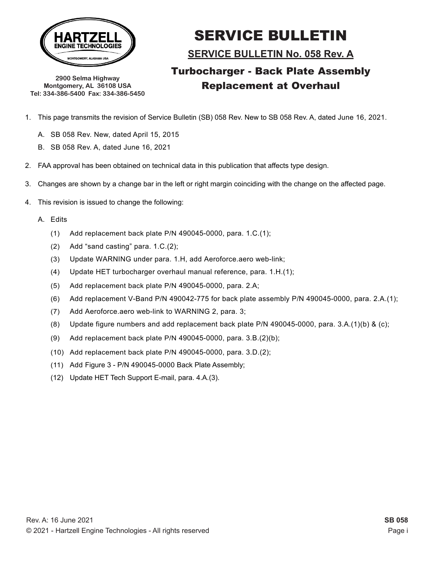

**2900 Selma Highway Montgomery, AL 36108 USA Tel: 334-386-5400 Fax: 334-386-5450**

# SERVICE BULLETIN

**SERVICE BULLETIN No. 058 Rev. A**

- 1. This page transmits the revision of Service Bulletin (SB) 058 Rev. New to SB 058 Rev. A, dated June 16, 2021.
	- A. SB 058 Rev. New, dated April 15, 2015
	- B. SB 058 Rev. A, dated June 16, 2021
- 2. FAA approval has been obtained on technical data in this publication that affects type design.
- 3. Changes are shown by a change bar in the left or right margin coinciding with the change on the affected page.
- 4. This revision is issued to change the following:
	- A. Edits
		- (1) Add replacement back plate P/N 490045-0000, para. 1.C.(1);
		- (2) Add "sand casting" para. 1.C.(2);
		- (3) Update WARNING under para. 1.H, add Aeroforce.aero web-link;
		- (4) Update HET turbocharger overhaul manual reference, para. 1.H.(1);
		- (5) Add replacement back plate P/N 490045-0000, para. 2.A;
		- (6) Add replacement V-Band P/N 490042-775 for back plate assembly P/N 490045-0000, para. 2.A.(1);
		- (7) Add Aeroforce.aero web-link to WARNING 2, para. 3;
		- (8) Update figure numbers and add replacement back plate P/N 490045-0000, para. 3.A.(1)(b) & (c);
		- (9) Add replacement back plate P/N 490045-0000, para. 3.B.(2)(b);
		- (10) Add replacement back plate P/N 490045-0000, para. 3.D.(2);
		- (11) Add Figure 3 P/N 490045-0000 Back Plate Assembly;
		- (12) Update HET Tech Support E-mail, para. 4.A.(3).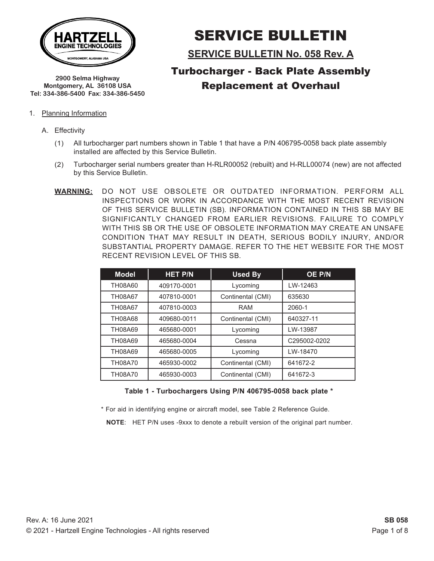

**2900 Selma Highway Montgomery, AL 36108 USA Tel: 334-386-5400 Fax: 334-386-5450**

# SERVICE BULLETIN

**SERVICE BULLETIN No. 058 Rev. A**

## Turbocharger - Back Plate Assembly Replacement at Overhaul

- 1. Planning Information
	- A. Effectivity
		- (1) All turbocharger part numbers shown in Table 1 that have a P/N 406795-0058 back plate assembly installed are affected by this Service Bulletin.
		- (2) Turbocharger serial numbers greater than H-RLR00052 (rebuilt) and H-RLL00074 (new) are not affected by this Service Bulletin.
		- **WARNING:** DO NOT USE OBSOLETE OR OUTDATED INFORMATION. PERFORM ALL INSPECTIONS OR WORK IN ACCORDANCE WITH THE MOST RECENT REVISION OF THIS SERVICE BULLETIN (SB). INFORMATION CONTAINED IN THIS SB MAY BE SIGNIFICANTLY CHANGED FROM EARLIER REVISIONS. FAILURE TO COMPLY WITH THIS SB OR THE USE OF OBSOLETE INFORMATION MAY CREATE AN UNSAFE CONDITION THAT MAY RESULT IN DEATH, SERIOUS BODILY INJURY, AND/OR SUBSTANTIAL PROPERTY DAMAGE. REFER TO THE HET WEBSITE FOR THE MOST RECENT REVISION LEVEL OF THIS SB.

| <b>Model</b>   | <b>HET P/N</b> | <b>Used By</b>    | OE P/N       |
|----------------|----------------|-------------------|--------------|
| TH08A60        | 409170-0001    | Lycoming          | LW-12463     |
| TH08A67        | 407810-0001    | Continental (CMI) | 635630       |
| <b>TH08A67</b> | 407810-0003    | <b>RAM</b>        | 2060-1       |
| TH08A68        | 409680-0011    | Continental (CMI) | 640327-11    |
| TH08A69        | 465680-0001    | Lycoming          | LW-13987     |
| TH08A69        | 465680-0004    | Cessna            | C295002-0202 |
| TH08A69        | 465680-0005    | Lycoming          | LW-18470     |
| <b>TH08A70</b> | 465930-0002    | Continental (CMI) | 641672-2     |
| <b>TH08A70</b> | 465930-0003    | Continental (CMI) | 641672-3     |

#### **Table 1 - Turbochargers Using P/N 406795-0058 back plate \***

\* For aid in identifying engine or aircraft model, see Table 2 Reference Guide.

**NOTE**: HET P/N uses -9xxx to denote a rebuilt version of the original part number.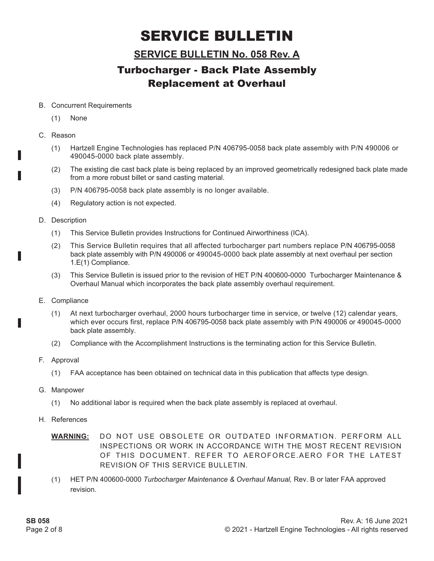### **SERVICE BULLETIN No. 058 Rev. A**

## Turbocharger - Back Plate Assembly Replacement at Overhaul

#### B. Concurrent Requirements

- (1) None
- C. Reason
	- (1) Hartzell Engine Technologies has replaced P/N 406795-0058 back plate assembly with P/N 490006 or 490045-0000 back plate assembly.
	- (2) The existing die cast back plate is being replaced by an improved geometrically redesigned back plate made from a more robust billet or sand casting material.
	- (3) P/N 406795-0058 back plate assembly is no longer available.
	- (4) Regulatory action is not expected.
- D. Description
	- (1) This Service Bulletin provides Instructions for Continued Airworthiness (ICA).
	- (2) This Service Bulletin requires that all affected turbocharger part numbers replace P/N 406795-0058 back plate assembly with P/N 490006 or 490045-0000 back plate assembly at next overhaul per section 1.E(1) Compliance.
	- (3) This Service Bulletin is issued prior to the revision of HET P/N 400600-0000 Turbocharger Maintenance & Overhaul Manual which incorporates the back plate assembly overhaul requirement.
- E. Compliance
	- (1) At next turbocharger overhaul, 2000 hours turbocharger time in service, or twelve (12) calendar years, which ever occurs first, replace P/N 406795-0058 back plate assembly with P/N 490006 or 490045-0000 back plate assembly.
	- (2) Compliance with the Accomplishment Instructions is the terminating action for this Service Bulletin.
- F. Approval
	- (1) FAA acceptance has been obtained on technical data in this publication that affects type design.
- G. Manpower
	- (1) No additional labor is required when the back plate assembly is replaced at overhaul.
- H. References

**WARNING:** DO NOT USE OBSOLETE OR OUTDATED INFORMATION. PERFORM ALL INSPECTIONS OR WORK IN ACCORDANCE WITH THE MOST RECENT REVISION OF THIS DOCUMENT. REFER TO AEROFORCE.AERO FOR THE LATEST REVISION OF THIS SERVICE BULLETIN.

(1) HET P/N 400600-0000 *Turbocharger Maintenance & Overhaul Manual,* Rev. B or later FAA approved revision.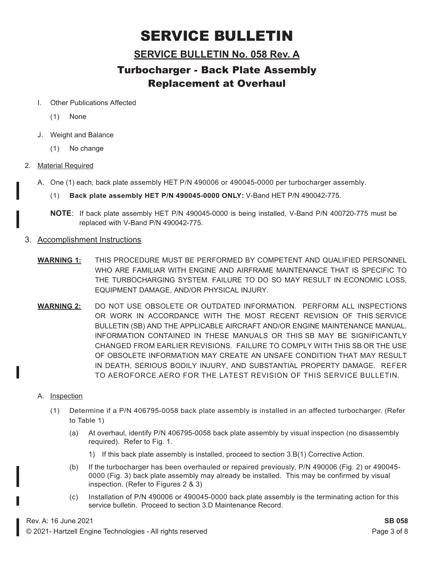### **SERVICE BULLETIN No. 058 Rev. A**

- I. Other Publications Affected
	- (1) None
- J. Weight and Balance
	- (1) No change
- 2. Material Required
	- A. One (1) each, back plate assembly HET P/N 490006 or 490045-0000 per turbocharger assembly.
		- (1) **Back plate assembly HET P/N 490045-0000 ONLY:** V-Band HET P/N 490042-775.
		- **NOTE**: If back plate assembly HET P/N 490045-0000 is being installed, V-Band P/N 400720-775 must be replaced with V-Band P/N 490042-775.
- 3. Accomplishment Instructions
	- **WARNING 1:** THIS PROCEDURE MUST BE PERFORMED BY COMPETENT AND QUALIFIED PERSONNEL WHO ARE FAMILIAR WITH ENGINE AND AIRFRAME MAINTENANCE THAT IS SPECIFIC TO THE TURBOCHARGING SYSTEM. FAILURE TO DO SO MAY RESULT IN ECONOMIC LOSS, EQUIPMENT DAMAGE, AND/OR PHYSICAL INJURY.
	- **WARNING 2:** DO NOT USE OBSOLETE OR OUTDATED INFORMATION. PERFORM ALL INSPECTIONS OR WORK IN ACCORDANCE WITH THE MOST RECENT REVISION OF THIS SERVICE BULLETIN (SB) AND THE APPLICABLE AIRCRAFT AND/OR ENGINE MAINTENANCE MANUAL. INFORMATION CONTAINED IN THESE MANUALS OR THIS SB MAY BE SIGNIFICANTLY CHANGED FROM EARLIER REVISIONS. FAILURE TO COMPLY WITH THIS SB OR THE USE OF OBSOLETE INFORMATION MAY CREATE AN UNSAFE CONDITION THAT MAY RESULT IN DEATH, SERIOUS BODILY INJURY, AND SUBSTANTIAL PROPERTY DAMAGE. REFER TO AEROFORCE.AERO FOR THE LATEST REVISION OF THIS SERVICE BULLETIN.
	- A. Inspection
		- (1) Determine if a P/N 406795-0058 back plate assembly is installed in an affected turbocharger. (Refer to Table 1)
			- (a) At overhaul, identify P/N 406795-0058 back plate assembly by visual inspection (no disassembly required). Refer to Fig. 1.
				- 1) If this back plate assembly is installed, proceed to section 3.B(1) Corrective Action.
			- (b) If the turbocharger has been overhauled or repaired previously, P/N 490006 (Fig. 2) or 490045- 0000 (Fig. 3) back plate assembly may already be installed. This may be confirmed by visual inspection. (Refer to Figures 2 & 3)
			- (c) Installation of P/N 490006 or 490045-0000 back plate assembly is the terminating action for this service bulletin. Proceed to section 3.D Maintenance Record.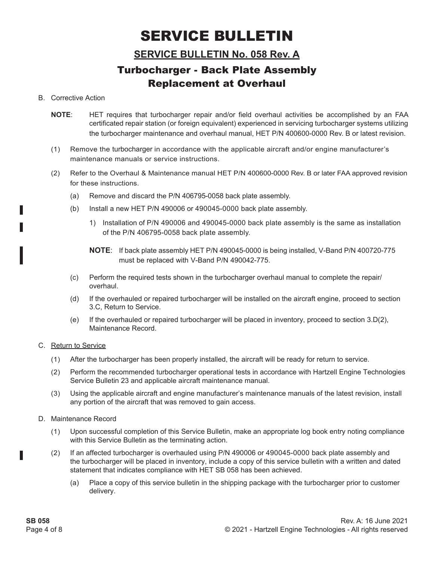### **SERVICE BULLETIN No. 058 Rev. A**

## Turbocharger - Back Plate Assembly Replacement at Overhaul

#### B. Corrective Action

- **NOTE:** HET requires that turbocharger repair and/or field overhaul activities be accomplished by an FAA certificated repair station (or foreign equivalent) experienced in servicing turbocharger systems utilizing the turbocharger maintenance and overhaul manual, HET P/N 400600-0000 Rev. B or latest revision.
- (1) Remove the turbocharger in accordance with the applicable aircraft and/or engine manufacturer's maintenance manuals or service instructions.
- (2) Refer to the Overhaul & Maintenance manual HET P/N 400600-0000 Rev. B or later FAA approved revision for these instructions.
	- (a) Remove and discard the P/N 406795-0058 back plate assembly.
	- (b) Install a new HET P/N 490006 or 490045-0000 back plate assembly.
		- 1) Installation of P/N 490006 and 490045-0000 back plate assembly is the same as installation of the P/N 406795-0058 back plate assembly.
		- **NOTE**: If back plate assembly HET P/N 490045-0000 is being installed, V-Band P/N 400720-775 must be replaced with V-Band P/N 490042-775.
	- (c) Perform the required tests shown in the turbocharger overhaul manual to complete the repair/ overhaul.
	- (d) If the overhauled or repaired turbocharger will be installed on the aircraft engine, proceed to section 3.C, Return to Service.
	- (e) If the overhauled or repaired turbocharger will be placed in inventory, proceed to section 3.D(2), Maintenance Record.

#### C. Return to Service

- (1) After the turbocharger has been properly installed, the aircraft will be ready for return to service.
- (2) Perform the recommended turbocharger operational tests in accordance with Hartzell Engine Technologies Service Bulletin 23 and applicable aircraft maintenance manual.
- (3) Using the applicable aircraft and engine manufacturer's maintenance manuals of the latest revision, install any portion of the aircraft that was removed to gain access.
- D. Maintenance Record
	- (1) Upon successful completion of this Service Bulletin, make an appropriate log book entry noting compliance with this Service Bulletin as the terminating action.
	- (2) If an affected turbocharger is overhauled using P/N 490006 or 490045-0000 back plate assembly and the turbocharger will be placed in inventory, include a copy of this service bulletin with a written and dated statement that indicates compliance with HET SB 058 has been achieved.
		- (a) Place a copy of this service bulletin in the shipping package with the turbocharger prior to customer delivery.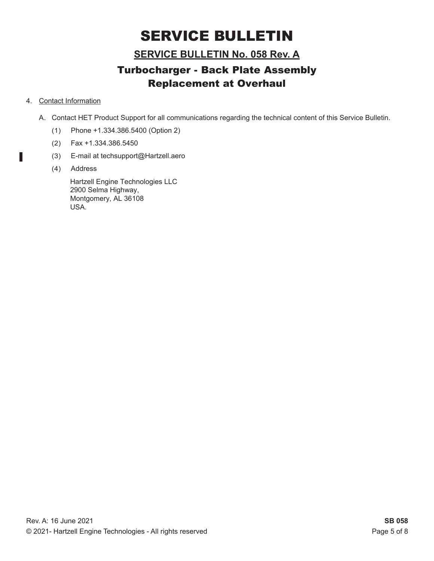### **SERVICE BULLETIN No. 058 Rev. A**

## Turbocharger - Back Plate Assembly Replacement at Overhaul

#### 4. Contact Information

Γ

- A. Contact HET Product Support for all communications regarding the technical content of this Service Bulletin.
	- (1) Phone +1.334.386.5400 (Option 2)
	- (2) Fax +1.334.386.5450
	- (3) E-mail at techsupport@Hartzell.aero
	- (4) Address

Hartzell Engine Technologies LLC 2900 Selma Highway, Montgomery, AL 36108 USA.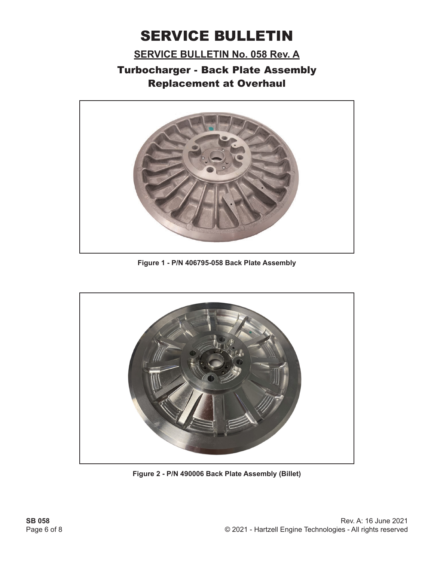**SERVICE BULLETIN No. 058 Rev. A**



**Figure 1 - P/N 406795-058 Back Plate Assembly**



**Figure 2 - P/N 490006 Back Plate Assembly (Billet)**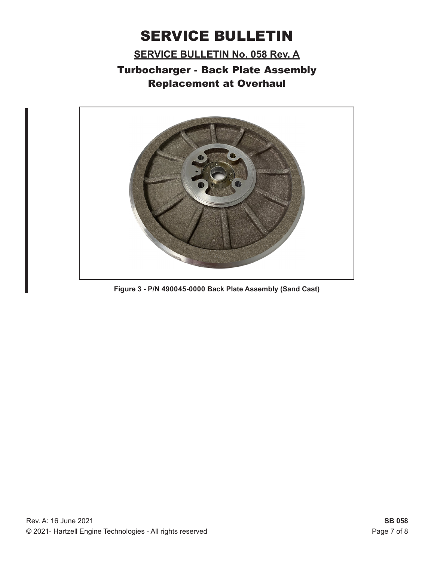**SERVICE BULLETIN No. 058 Rev. A**



**Figure 3 - P/N 490045-0000 Back Plate Assembly (Sand Cast)**